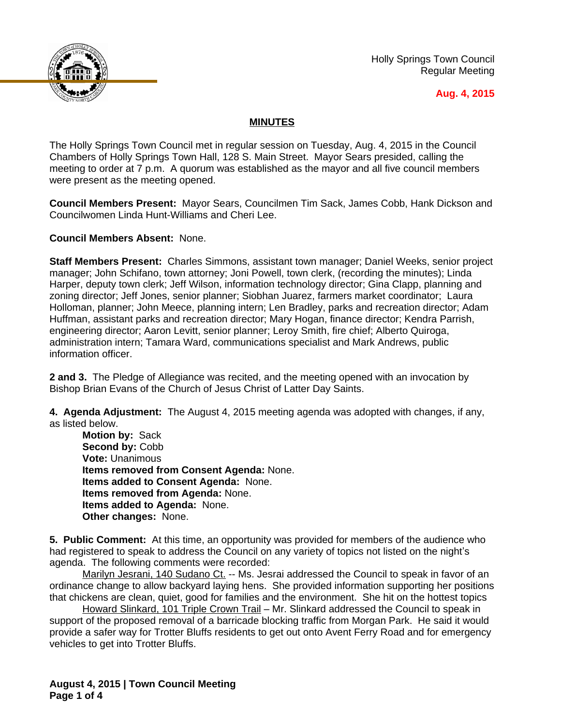

Holly Springs Town Council Regular Meeting

## **Aug. 4, 2015**

## **MINUTES**

The Holly Springs Town Council met in regular session on Tuesday, Aug. 4, 2015 in the Council Chambers of Holly Springs Town Hall, 128 S. Main Street. Mayor Sears presided, calling the meeting to order at 7 p.m. A quorum was established as the mayor and all five council members were present as the meeting opened.

**Council Members Present:** Mayor Sears, Councilmen Tim Sack, James Cobb, Hank Dickson and Councilwomen Linda Hunt-Williams and Cheri Lee.

**Council Members Absent:** None.

**Staff Members Present:** Charles Simmons, assistant town manager; Daniel Weeks, senior project manager; John Schifano, town attorney; Joni Powell, town clerk, (recording the minutes); Linda Harper, deputy town clerk; Jeff Wilson, information technology director; Gina Clapp, planning and zoning director; Jeff Jones, senior planner; Siobhan Juarez, farmers market coordinator; Laura Holloman, planner; John Meece, planning intern; Len Bradley, parks and recreation director; Adam Huffman, assistant parks and recreation director; Mary Hogan, finance director; Kendra Parrish, engineering director; Aaron Levitt, senior planner; Leroy Smith, fire chief; Alberto Quiroga, administration intern; Tamara Ward, communications specialist and Mark Andrews, public information officer.

**2 and 3.** The Pledge of Allegiance was recited, and the meeting opened with an invocation by Bishop Brian Evans of the Church of Jesus Christ of Latter Day Saints.

**4. Agenda Adjustment:** The August 4, 2015 meeting agenda was adopted with changes, if any, as listed below.

**Motion by:** Sack **Second by:** Cobb **Vote:** Unanimous **Items removed from Consent Agenda:** None. **Items added to Consent Agenda:** None. **Items removed from Agenda:** None. **Items added to Agenda:** None. **Other changes:** None.

**5. Public Comment:** At this time, an opportunity was provided for members of the audience who had registered to speak to address the Council on any variety of topics not listed on the night's agenda. The following comments were recorded:

Marilyn Jesrani, 140 Sudano Ct. -- Ms. Jesrai addressed the Council to speak in favor of an ordinance change to allow backyard laying hens. She provided information supporting her positions that chickens are clean, quiet, good for families and the environment. She hit on the hottest topics

Howard Slinkard, 101 Triple Crown Trail – Mr. Slinkard addressed the Council to speak in support of the proposed removal of a barricade blocking traffic from Morgan Park. He said it would provide a safer way for Trotter Bluffs residents to get out onto Avent Ferry Road and for emergency vehicles to get into Trotter Bluffs.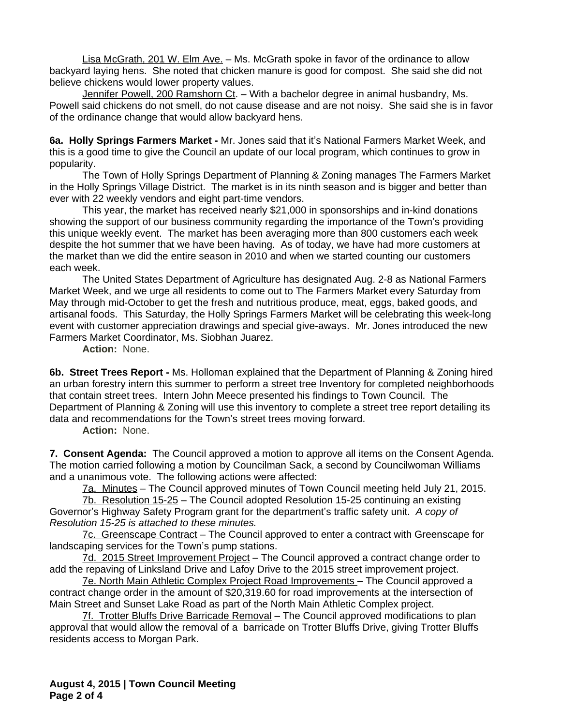Lisa McGrath, 201 W. Elm Ave. – Ms. McGrath spoke in favor of the ordinance to allow backyard laying hens. She noted that chicken manure is good for compost. She said she did not believe chickens would lower property values.

Jennifer Powell, 200 Ramshorn Ct. – With a bachelor degree in animal husbandry, Ms. Powell said chickens do not smell, do not cause disease and are not noisy. She said she is in favor of the ordinance change that would allow backyard hens.

**6a. Holly Springs Farmers Market -** Mr. Jones said that it's National Farmers Market Week, and this is a good time to give the Council an update of our local program, which continues to grow in popularity.

The Town of Holly Springs Department of Planning & Zoning manages The Farmers Market in the Holly Springs Village District. The market is in its ninth season and is bigger and better than ever with 22 weekly vendors and eight part-time vendors.

This year, the market has received nearly \$21,000 in sponsorships and in-kind donations showing the support of our business community regarding the importance of the Town's providing this unique weekly event. The market has been averaging more than 800 customers each week despite the hot summer that we have been having. As of today, we have had more customers at the market than we did the entire season in 2010 and when we started counting our customers each week.

The United States Department of Agriculture has designated Aug. 2-8 as National Farmers Market Week, and we urge all residents to come out to The Farmers Market every Saturday from May through mid-October to get the fresh and nutritious produce, meat, eggs, baked goods, and artisanal foods. This Saturday, the Holly Springs Farmers Market will be celebrating this week-long event with customer appreciation drawings and special give-aways. Mr. Jones introduced the new Farmers Market Coordinator, Ms. Siobhan Juarez.

**Action:** None.

**6b. Street Trees Report -** Ms. Holloman explained that the Department of Planning & Zoning hired an urban forestry intern this summer to perform a street tree Inventory for completed neighborhoods that contain street trees. Intern John Meece presented his findings to Town Council. The Department of Planning & Zoning will use this inventory to complete a street tree report detailing its data and recommendations for the Town's street trees moving forward.

**Action:** None.

**7. Consent Agenda:** The Council approved a motion to approve all items on the Consent Agenda. The motion carried following a motion by Councilman Sack, a second by Councilwoman Williams and a unanimous vote. The following actions were affected:

7a. Minutes – The Council approved minutes of Town Council meeting held July 21, 2015.

7b. Resolution 15-25 – The Council adopted Resolution 15-25 continuing an existing Governor's Highway Safety Program grant for the department's traffic safety unit. *A copy of Resolution 15-25 is attached to these minutes.*

7c. Greenscape Contract – The Council approved to enter a contract with Greenscape for landscaping services for the Town's pump stations.

7d. 2015 Street Improvement Project – The Council approved a contract change order to add the repaving of Linksland Drive and Lafoy Drive to the 2015 street improvement project.

7e. North Main Athletic Complex Project Road Improvements – The Council approved a contract change order in the amount of \$20,319.60 for road improvements at the intersection of Main Street and Sunset Lake Road as part of the North Main Athletic Complex project.

7f. Trotter Bluffs Drive Barricade Removal – The Council approved modifications to plan approval that would allow the removal of a barricade on Trotter Bluffs Drive, giving Trotter Bluffs residents access to Morgan Park.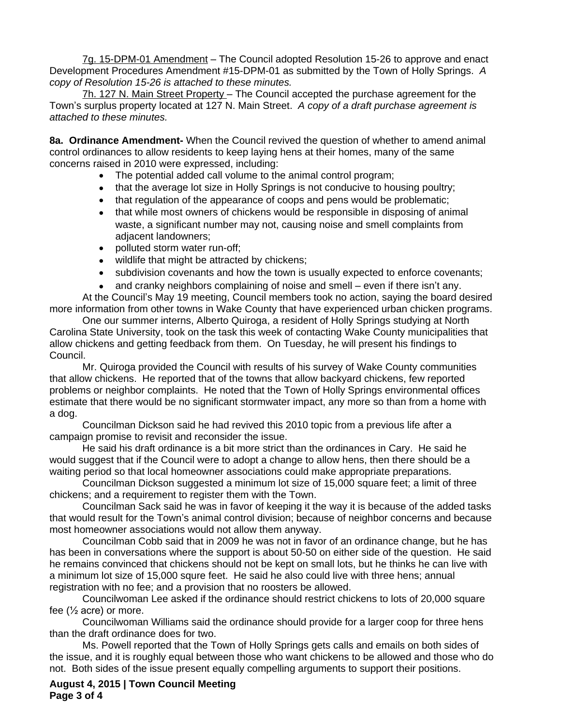7g. 15-DPM-01 Amendment – The Council adopted Resolution 15-26 to approve and enact Development Procedures Amendment #15-DPM-01 as submitted by the Town of Holly Springs. *A copy of Resolution 15-26 is attached to these minutes.*

7h. 127 N. Main Street Property – The Council accepted the purchase agreement for the Town's surplus property located at 127 N. Main Street. *A copy of a draft purchase agreement is attached to these minutes.*

**8a. Ordinance Amendment-** When the Council revived the question of whether to amend animal control ordinances to allow residents to keep laying hens at their homes, many of the same concerns raised in 2010 were expressed, including:

- The potential added call volume to the animal control program;
- that the average lot size in Holly Springs is not conducive to housing poultry;
- that regulation of the appearance of coops and pens would be problematic;
- that while most owners of chickens would be responsible in disposing of animal waste, a significant number may not, causing noise and smell complaints from adjacent landowners;
- polluted storm water run-off;
- wildlife that might be attracted by chickens;
- subdivision covenants and how the town is usually expected to enforce covenants;
- and cranky neighbors complaining of noise and smell even if there isn't any.

At the Council's May 19 meeting, Council members took no action, saying the board desired more information from other towns in Wake County that have experienced urban chicken programs.

One our summer interns, Alberto Quiroga, a resident of Holly Springs studying at North Carolina State University, took on the task this week of contacting Wake County municipalities that allow chickens and getting feedback from them. On Tuesday, he will present his findings to Council.

Mr. Quiroga provided the Council with results of his survey of Wake County communities that allow chickens. He reported that of the towns that allow backyard chickens, few reported problems or neighbor complaints. He noted that the Town of Holly Springs environmental offices estimate that there would be no significant stormwater impact, any more so than from a home with a dog.

Councilman Dickson said he had revived this 2010 topic from a previous life after a campaign promise to revisit and reconsider the issue.

He said his draft ordinance is a bit more strict than the ordinances in Cary. He said he would suggest that if the Council were to adopt a change to allow hens, then there should be a waiting period so that local homeowner associations could make appropriate preparations.

Councilman Dickson suggested a minimum lot size of 15,000 square feet; a limit of three chickens; and a requirement to register them with the Town.

Councilman Sack said he was in favor of keeping it the way it is because of the added tasks that would result for the Town's animal control division; because of neighbor concerns and because most homeowner associations would not allow them anyway.

Councilman Cobb said that in 2009 he was not in favor of an ordinance change, but he has has been in conversations where the support is about 50-50 on either side of the question. He said he remains convinced that chickens should not be kept on small lots, but he thinks he can live with a minimum lot size of 15,000 squre feet. He said he also could live with three hens; annual registration with no fee; and a provision that no roosters be allowed.

Councilwoman Lee asked if the ordinance should restrict chickens to lots of 20,000 square fee (½ acre) or more.

Councilwoman Williams said the ordinance should provide for a larger coop for three hens than the draft ordinance does for two.

Ms. Powell reported that the Town of Holly Springs gets calls and emails on both sides of the issue, and it is roughly equal between those who want chickens to be allowed and those who do not. Both sides of the issue present equally compelling arguments to support their positions.

**August 4, 2015 | Town Council Meeting Page 3 of 4**